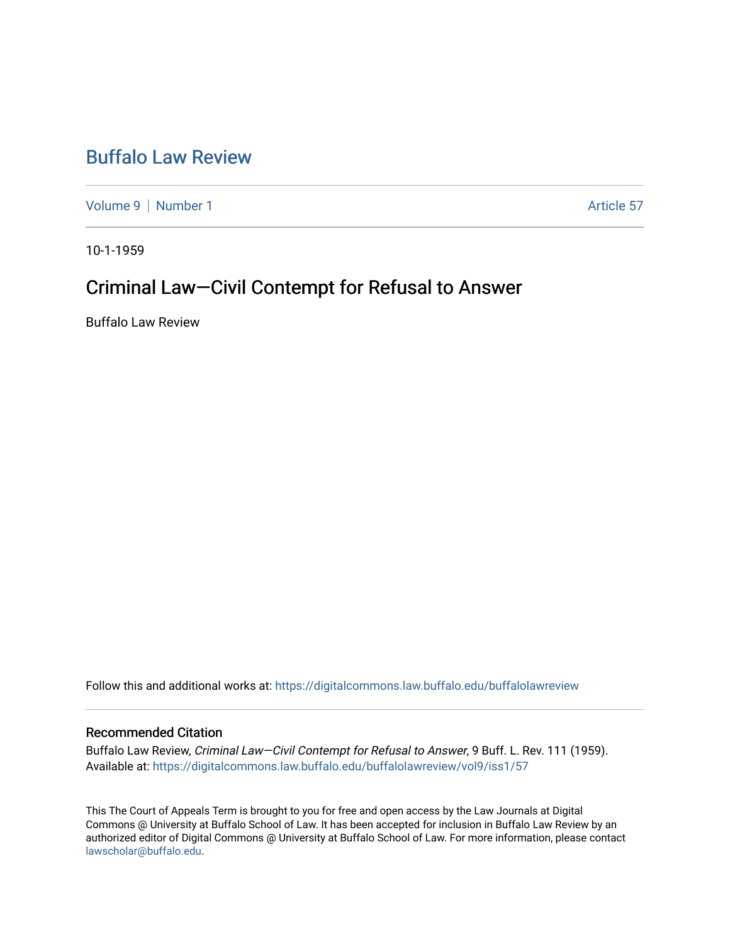# [Buffalo Law Review](https://digitalcommons.law.buffalo.edu/buffalolawreview)

[Volume 9](https://digitalcommons.law.buffalo.edu/buffalolawreview/vol9) | [Number 1](https://digitalcommons.law.buffalo.edu/buffalolawreview/vol9/iss1) Article 57

10-1-1959

# Criminal Law—Civil Contempt for Refusal to Answer

Buffalo Law Review

Follow this and additional works at: [https://digitalcommons.law.buffalo.edu/buffalolawreview](https://digitalcommons.law.buffalo.edu/buffalolawreview?utm_source=digitalcommons.law.buffalo.edu%2Fbuffalolawreview%2Fvol9%2Fiss1%2F57&utm_medium=PDF&utm_campaign=PDFCoverPages) 

### Recommended Citation

Buffalo Law Review, Criminal Law—Civil Contempt for Refusal to Answer, 9 Buff. L. Rev. 111 (1959). Available at: [https://digitalcommons.law.buffalo.edu/buffalolawreview/vol9/iss1/57](https://digitalcommons.law.buffalo.edu/buffalolawreview/vol9/iss1/57?utm_source=digitalcommons.law.buffalo.edu%2Fbuffalolawreview%2Fvol9%2Fiss1%2F57&utm_medium=PDF&utm_campaign=PDFCoverPages) 

This The Court of Appeals Term is brought to you for free and open access by the Law Journals at Digital Commons @ University at Buffalo School of Law. It has been accepted for inclusion in Buffalo Law Review by an authorized editor of Digital Commons @ University at Buffalo School of Law. For more information, please contact [lawscholar@buffalo.edu](mailto:lawscholar@buffalo.edu).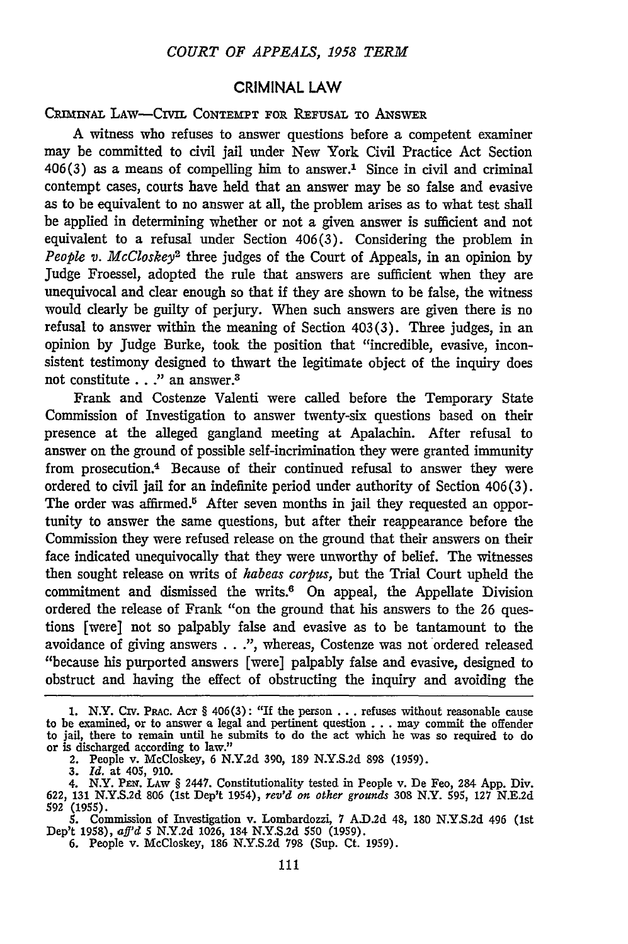#### CRIMINAL LAW

CRIMINAL LAW-CIVIL CONTEMPT FOR REFUSAL TO ANSWER

A witness who refuses to answer questions before a competent examiner may be committed to civil jail under New York Civil Practice Act Section  $406(3)$  as a means of compelling him to answer.<sup>1</sup> Since in civil and criminal contempt cases, courts have held that an answer may be so false and evasive as to be equivalent to no answer at all, the problem arises as to what test shall be applied in determining whether or not a given answer is sufficient and not equivalent to a refusal under Section 406(3). Considering the problem in *People v. McCloskey2* three judges of the Court of Appeals, in an opinion by Judge Froessel, adopted the rule that answers are sufficient when they are unequivocal and clear enough so that if they are shown to be false, the witness would clearly be guilty of perjury. When such answers are given there is no refusal to answer within the meaning of Section 403(3). Three judges, in an opinion by Judge Burke, took the position that "incredible, evasive, inconsistent testimony designed to thwart the legitimate object of the inquiry does not constitute . . ." an answer.<sup>3</sup>

Frank and Costenze Valenti were called before the Temporary State Commission of Investigation to answer twenty-six questions based on their presence at the alleged gangland meeting at Apalachin. After refusal to answer on the ground of possible self-incrimination they were granted immunity from prosecution.<sup>4</sup> Because of their continued refusal to answer they were ordered to civil jail for an indefinite period under authority of Section 406(3). The order was affirmed.<sup>5</sup> After seven months in jail they requested an opportunity to answer the same questions, but after their reappearance before the Commission they were refused release on the ground that their answers on their face indicated unequivocally that they were unworthy of belief. The witnesses then sought release on writs of *habeas corpus,* but the Trial Court upheld the commitment and dismissed the writs.6 On appeal, the Appellate Division ordered the release of Frank "on the ground that his answers to the *26* questions [were] not so palpably false and evasive as to be tantamount to the avoidance of giving answers . . .", whereas, Costenze was not ordered released "because his purported answers [were] palpably false and evasive, designed to obstruct and having the effect of obstructing the inquiry and avoiding the

<sup>1.</sup> N.Y. Civ. PRAc. AcT § 406(3): "If the person **...** refuses without reasonable cause to be examined, or to answer a legal and pertinent question . **. .** may commit the offender to jail, there to remain until he submits to do the act which he was so required to do or is discharged according to law." or is discharged according to law."<br>2. People v. McCloskey, 6 N.Y.2d 390, 189 N.Y.S.2d 898 (1959).

*<sup>3.</sup> Id.* at 405, 910.

<sup>4.</sup> N.Y. PEr. LAw § 2447. Constitutionality tested in People v. De Feo, 284 App. Div. 622, 131 N.Y.S.2d **806** (1st Dep't 1954), *rev'd* on other grounds 308 N.Y. 595, 127 N.E.2d **592 (1955).**

<sup>5.</sup> Commission of Investigation v. Lombardozzi, 7 A.D.2d 48, 180 N.Y.S.2d 496 (1s<br>Dep't 1958), *aff'd* 5 N.Y.2d 1026, 184 N.Y.S.2d 550 (1959).<br>6. People v. McCloskey, 186 N.Y.S.2d 798 (Sup. Ct. 1959).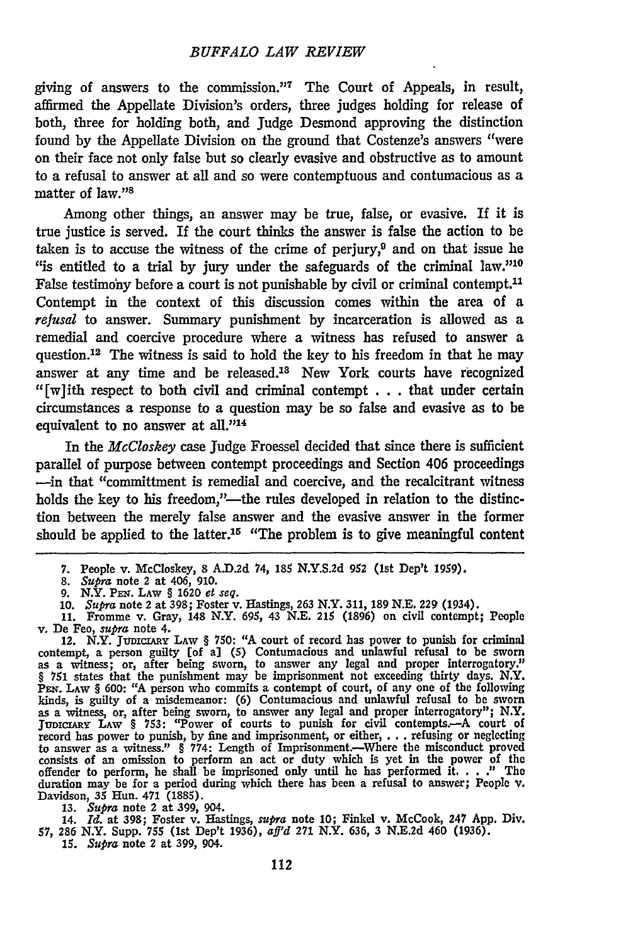#### *BUFFALO LAW REVIEW*

giving of answers to the commission." 7 The Court of Appeals, in result, affirmed the Appellate Division's orders, three judges holding for release of both, three for holding both, and Judge Desmond approving the distinction found by the Appellate Division on the ground that Costenze's answers "were on their face not only false but so clearly evasive and obstructive as to amount to a refusal to answer at all and so were contemptuous and contumacious as a matter of law."<sup>8</sup>

Among other things, an answer may be true, false, or evasive. If it is true justice is served. If the court thinks the answer is false the action to be taken is to accuse the witness of the crime of perjury,<sup>9</sup> and on that issue he "is entitled to a trial by jury under the safeguards of the criminal law." $10$ False testimony before a court is not punishable by civil or criminal contempt.<sup>11</sup> Contempt in the context of this discussion comes within the area of a *refusal* to answer. Summary punishment by incarceration is allowed as a remedial and coercive procedure where a witness has refused to answer a question.<sup>12</sup> The witness is said to hold the key to his freedom in that he may answer at any time and be released.<sup>18</sup> New York courts have recognized "[w]ith respect to both civil and criminal contempt  $\dots$  that under certain circumstances a response to a question may be so false and evasive as to be equivalent to no answer at all."<sup>14</sup>

In the *McCloskey* case Judge Froessel decided that since there is sufficient parallel of purpose between contempt proceedings and Section 406 proceedings --in that "committment is remedial and coercive, and the recalcitrant witness holds the key to his freedom,"---the rules developed in relation to the distinction between the merely false answer and the evasive answer in the former should be applied to the latter.<sup>15</sup> "The problem is to give meaningful content

contempt, a person guilty [of a] **(5)** Contumacious and unlawful refusal to be sworn as a witness; or, after being sworn, to answer any legal and proper interrogatory." § 751 states that the punishment may be imprisonment not exceeding thirty days. N.Y.<br>PEN. LAW § 600: "A person who commits a contempt of court, of any one of the following kinds, is guilty of a misdemeanor: (6) Contumacious and unlawful refusal to be sworn<br>as a witness, or, after being sworn, to answer any legal and proper interrogatory"; N.Y.<br>JUDICZARY LAW § 753: "Power of courts to punish consists of an omission to perform an act or duty which is yet in the power of the offender to perform, he shall be imprisoned only until he has performed it...." The duration may be for a period during which there has been a refusal to answer; People v. Davidson, 35 Hun. 471 (1885).

**13.** *Supra* note 2 at 399, 904.

14. Id. at 398; Foster v. Hastings, *supra* note 10; Finkel v. McCook, 247 App. Div.<br>57, 286 N.Y. Supp. 755 (1st Dep't 1936), aff'd 271 N.Y. 636, 3 N.E.2d 460 (1936).

*15. Supra* note 2 at **399,** 904.

**<sup>7.</sup>** People v. McCloskey, 8 **A.D.2d** 74, 185 **N.Y.S.2d 952** (1st Dep't 1959).

**<sup>8.</sup>** *Supra* note 2 at 406, **910.**

<sup>9.</sup> N.Y. PEN. LAW § 1620 et seq.<br>10. Supra note 2 at 398; Foster v. Hastings, 263 N.Y. 311, 189 N.E. 229 (1934).<br>11. Fromme v. Gray, 148 N.Y. 695, 43 N.E. 215 (1896) on civil contempt; Peoplo

v. De Feo, *supra* note 4.<br>12. N.Y. JUDICIARY LAW § 750: "A court of record has power to punish for criminal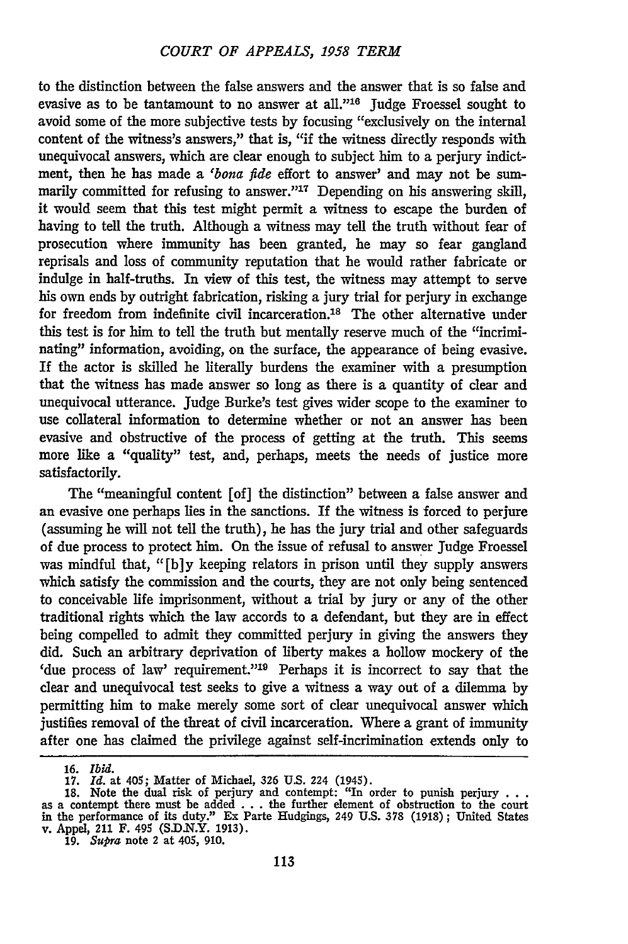to the distinction between the false answers and the answer that is so false and evasive as to be tantamount to no answer at all."<sup>16</sup> Judge Froessel sought to avoid some of the more subjective tests **by** focusing "exclusively on the internal content of the witness's answers," that is, "if the witness directly responds with unequivocal answers, which are clear enough to subject him to a perjury indictment, then he has made a *'bona fide* effort to answer' and may not be summarily committed for refusing to answer."<sup>17</sup> Depending on his answering skill, it would seem that this test might permit a witness to escape the burden of having to tell the truth. Although a witness may tell the truth without fear of prosecution where immunity has been granted, he may so fear gangland reprisals and loss of community reputation that he would rather fabricate or indulge in half-truths. In view of this test, the witness may attempt to serve his own ends **by** outright fabrication, risking a jury trial for perjury in exchange for freedom from indefinite civil incarceration.<sup>18</sup> The other alternative under this test is for him to tell the truth but mentally reserve much of the "incriminating" information, avoiding, on the surface, the appearance of being evasive. If the actor is skilled he literally burdens the examiner with a presumption that the witness has made answer so long as there is a quantity of clear and unequivocal utterance. Judge Burke's test gives wider scope to the examiner to use collateral information to determine whether or not an answer has been evasive and obstructive of the process of getting at the truth. This seems more like a "quality" test, and, perhaps, meets the needs of justice more satisfactorily.

The "meaningful content [of] the distinction" between a false answer and an evasive one perhaps lies in the sanctions. If the witness is forced to perjure (assuming he will not tell the truth), he has the jury trial and other safeguards of due process to protect him. On the issue of refusal to answer Judge Froessel was mindful that, **"[b]y** keeping relators in prison until they supply answers which satisfy the commission and the courts, they are not only being sentenced to conceivable life imprisonment, without a trial **by** jury or any of the other traditional rights which the law accords to a defendant, but they are in effect being compelled to admit they committed perjury in giving the answers they did. Such an arbitrary deprivation of liberty makes a hollow mockery of the 'due process of law' requirement."<sup>19</sup> Perhaps it is incorrect to say that the clear and unequivocal test seeks to give a witness a way out of a dilemma **by** permitting him to make merely some sort of clear unequivocal answer which justifies removal of the threat of civil incarceration. Where a grant of immunity after one has claimed the privilege against self-incrimination extends only to

**<sup>16.</sup>** *Ibid.*

**<sup>17.</sup>** *Id.* at 405; Matter of Michael, **326 US.** 224 (1945). **18.** Note the dual risk of perjury and contempt: "In order to punish perjury **. . .** as a contempt there must be added **. . .** the further element of obstruction to the court in the performance of its duty." Ex Parte Hudgings, 249 **U.S. 378 (1918);** United States v. Appel, 211 F. 495 (S.D.N.Y. 1913)<br>19. *Supra* note 2 at 405, 910.